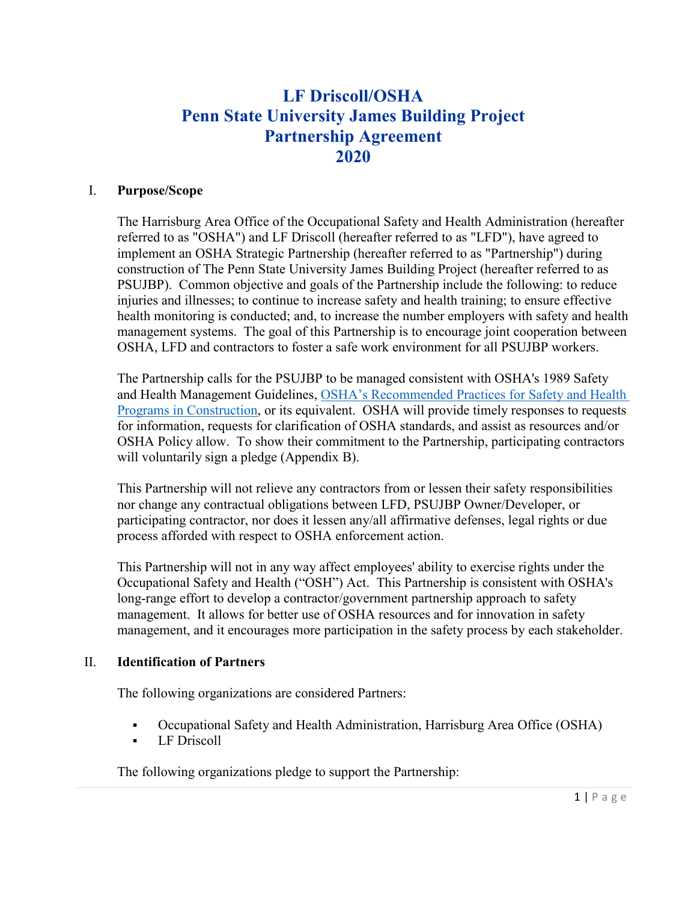# **LF Driscoll/OSHA Penn State University James Building Project Partnership Agreement 2020**

## I. **Purpose/Scope**

The Harrisburg Area Office of the Occupational Safety and Health Administration (hereafter referred to as "OSHA") and LF Driscoll (hereafter referred to as "LFD"), have agreed to implement an OSHA Strategic Partnership (hereafter referred to as "Partnership") during construction of The Penn State University James Building Project (hereafter referred to as PSUJBP). Common objective and goals of the Partnership include the following: to reduce injuries and illnesses; to continue to increase safety and health training; to ensure effective health monitoring is conducted; and, to increase the number employers with safety and health management systems. The goal of this Partnership is to encourage joint cooperation between OSHA, LFD and contractors to foster a safe work environment for all PSUJBP workers.

The Partnership calls for the PSUJBP to be managed consistent with OSHA's 1989 Safety and Health Management Guidelines, [OSHA's Recommended Practices for Safety and Health](https://www.osha.gov/shpguidelines/docs/8524_OSHA_Construction_Guidelines_R4.pdf)  [Programs in Construction,](https://www.osha.gov/shpguidelines/docs/8524_OSHA_Construction_Guidelines_R4.pdf) or its equivalent. OSHA will provide timely responses to requests for information, requests for clarification of OSHA standards, and assist as resources and/or OSHA Policy allow. To show their commitment to the Partnership, participating contractors will voluntarily sign a pledge (Appendix B).

This Partnership will not relieve any contractors from or lessen their safety responsibilities nor change any contractual obligations between LFD, PSUJBP Owner/Developer, or participating contractor, nor does it lessen any/all affirmative defenses, legal rights or due process afforded with respect to OSHA enforcement action.

This Partnership will not in any way affect employees' ability to exercise rights under the Occupational Safety and Health ("OSH") Act. This Partnership is consistent with OSHA's long-range effort to develop a contractor/government partnership approach to safety management. It allows for better use of OSHA resources and for innovation in safety management, and it encourages more participation in the safety process by each stakeholder.

#### II. **Identification of Partners**

The following organizations are considered Partners:

- Occupational Safety and Health Administration, Harrisburg Area Office (OSHA)
- **LF** Driscoll

The following organizations pledge to support the Partnership: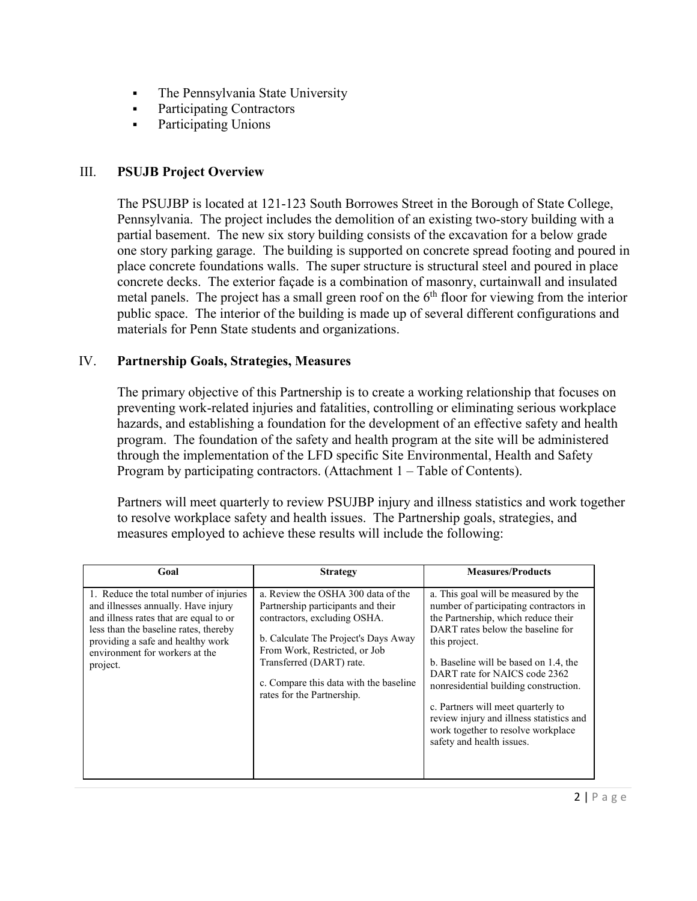- The Pennsylvania State University
- Participating Contractors
- Participating Unions

# III. **PSUJB Project Overview**

The PSUJBP is located at 121-123 South Borrowes Street in the Borough of State College, Pennsylvania. The project includes the demolition of an existing two-story building with a partial basement. The new six story building consists of the excavation for a below grade one story parking garage. The building is supported on concrete spread footing and poured in place concrete foundations walls. The super structure is structural steel and poured in place concrete decks. The exterior façade is a combination of masonry, curtainwall and insulated metal panels. The project has a small green roof on the  $6<sup>th</sup>$  floor for viewing from the interior public space. The interior of the building is made up of several different configurations and materials for Penn State students and organizations.

## IV. **Partnership Goals, Strategies, Measures**

The primary objective of this Partnership is to create a working relationship that focuses on preventing work-related injuries and fatalities, controlling or eliminating serious workplace hazards, and establishing a foundation for the development of an effective safety and health program. The foundation of the safety and health program at the site will be administered through the implementation of the LFD specific Site Environmental, Health and Safety Program by participating contractors. (Attachment 1 – Table of Contents).

Partners will meet quarterly to review PSUJBP injury and illness statistics and work together to resolve workplace safety and health issues. The Partnership goals, strategies, and measures employed to achieve these results will include the following:

| Goal                                                                                                                                                                                                                                                | <b>Strategy</b>                                                                                                                                                                                                                                                                       | <b>Measures/Products</b>                                                                                                                                                                                                                                                                                                                                                                                                                            |
|-----------------------------------------------------------------------------------------------------------------------------------------------------------------------------------------------------------------------------------------------------|---------------------------------------------------------------------------------------------------------------------------------------------------------------------------------------------------------------------------------------------------------------------------------------|-----------------------------------------------------------------------------------------------------------------------------------------------------------------------------------------------------------------------------------------------------------------------------------------------------------------------------------------------------------------------------------------------------------------------------------------------------|
| 1. Reduce the total number of injuries<br>and illnesses annually. Have injury<br>and illness rates that are equal to or<br>less than the baseline rates, thereby<br>providing a safe and healthy work<br>environment for workers at the<br>project. | a. Review the OSHA 300 data of the<br>Partnership participants and their<br>contractors, excluding OSHA.<br>b. Calculate The Project's Days Away<br>From Work, Restricted, or Job<br>Transferred (DART) rate.<br>c. Compare this data with the baseline<br>rates for the Partnership. | a. This goal will be measured by the<br>number of participating contractors in<br>the Partnership, which reduce their<br>DART rates below the baseline for<br>this project.<br>b. Baseline will be based on 1.4, the<br>DART rate for NAICS code 2362<br>nonresidential building construction.<br>c. Partners will meet quarterly to<br>review injury and illness statistics and<br>work together to resolve workplace<br>safety and health issues. |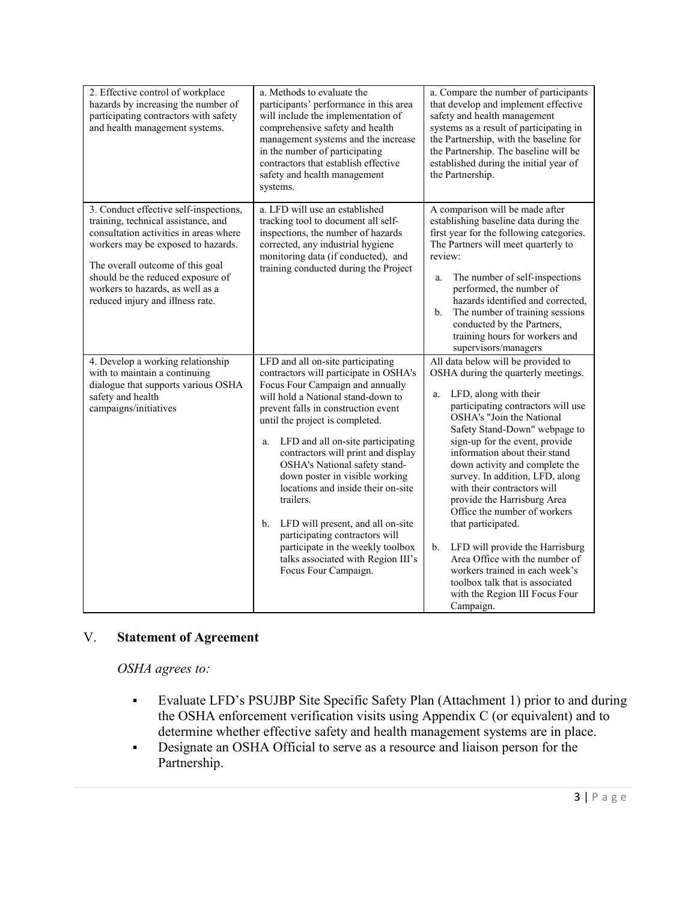| 2. Effective control of workplace<br>hazards by increasing the number of<br>participating contractors with safety<br>and health management systems.                                                                                                                                                            | a. Methods to evaluate the<br>participants' performance in this area<br>will include the implementation of<br>comprehensive safety and health<br>management systems and the increase<br>in the number of participating<br>contractors that establish effective<br>safety and health management<br>systems.                                                                                                                                                                                                                                                                                                             | a. Compare the number of participants<br>that develop and implement effective<br>safety and health management<br>systems as a result of participating in<br>the Partnership, with the baseline for<br>the Partnership. The baseline will be<br>established during the initial year of<br>the Partnership.                                                                                                                                                                                                                                                                                                                                                                           |
|----------------------------------------------------------------------------------------------------------------------------------------------------------------------------------------------------------------------------------------------------------------------------------------------------------------|------------------------------------------------------------------------------------------------------------------------------------------------------------------------------------------------------------------------------------------------------------------------------------------------------------------------------------------------------------------------------------------------------------------------------------------------------------------------------------------------------------------------------------------------------------------------------------------------------------------------|-------------------------------------------------------------------------------------------------------------------------------------------------------------------------------------------------------------------------------------------------------------------------------------------------------------------------------------------------------------------------------------------------------------------------------------------------------------------------------------------------------------------------------------------------------------------------------------------------------------------------------------------------------------------------------------|
| 3. Conduct effective self-inspections,<br>training, technical assistance, and<br>consultation activities in areas where<br>workers may be exposed to hazards.<br>The overall outcome of this goal<br>should be the reduced exposure of<br>workers to hazards, as well as a<br>reduced injury and illness rate. | a. LFD will use an established<br>tracking tool to document all self-<br>inspections, the number of hazards<br>corrected, any industrial hygiene<br>monitoring data (if conducted), and<br>training conducted during the Project                                                                                                                                                                                                                                                                                                                                                                                       | A comparison will be made after<br>establishing baseline data during the<br>first year for the following categories.<br>The Partners will meet quarterly to<br>review:<br>The number of self-inspections<br>a.<br>performed, the number of<br>hazards identified and corrected,<br>The number of training sessions<br>b.<br>conducted by the Partners,<br>training hours for workers and<br>supervisors/managers                                                                                                                                                                                                                                                                    |
| 4. Develop a working relationship<br>with to maintain a continuing<br>dialogue that supports various OSHA<br>safety and health<br>campaigns/initiatives                                                                                                                                                        | LFD and all on-site participating<br>contractors will participate in OSHA's<br>Focus Four Campaign and annually<br>will hold a National stand-down to<br>prevent falls in construction event<br>until the project is completed.<br>LFD and all on-site participating<br>a.<br>contractors will print and display<br>OSHA's National safety stand-<br>down poster in visible working<br>locations and inside their on-site<br>trailers.<br>LFD will present, and all on-site<br>b.<br>participating contractors will<br>participate in the weekly toolbox<br>talks associated with Region III's<br>Focus Four Campaign. | All data below will be provided to<br>OSHA during the quarterly meetings.<br>LFD, along with their<br>a.<br>participating contractors will use<br>OSHA's "Join the National<br>Safety Stand-Down" webpage to<br>sign-up for the event, provide<br>information about their stand<br>down activity and complete the<br>survey. In addition, LFD, along<br>with their contractors will<br>provide the Harrisburg Area<br>Office the number of workers<br>that participated.<br>LFD will provide the Harrisburg<br>$\mathbf{b}$ .<br>Area Office with the number of<br>workers trained in each week's<br>toolbox talk that is associated<br>with the Region III Focus Four<br>Campaign. |

# V. **Statement of Agreement**

*OSHA agrees to:*

- Evaluate LFD's PSUJBP Site Specific Safety Plan (Attachment 1) prior to and during the OSHA enforcement verification visits using Appendix C (or equivalent) and to determine whether effective safety and health management systems are in place.
- Designate an OSHA Official to serve as a resource and liaison person for the Partnership.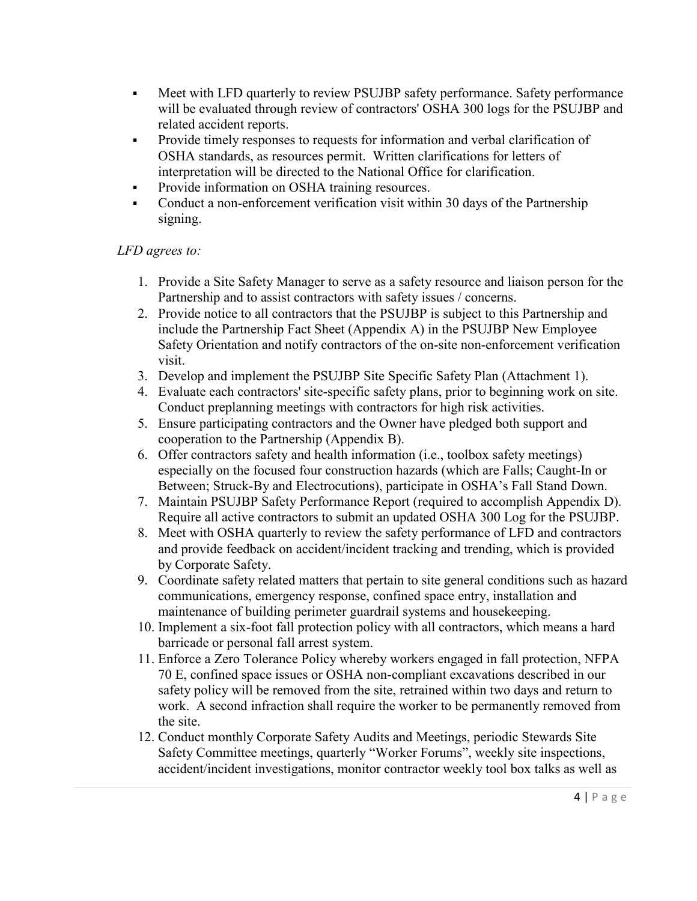- Meet with LFD quarterly to review PSUJBP safety performance. Safety performance will be evaluated through review of contractors' OSHA 300 logs for the PSUJBP and related accident reports.
- Provide timely responses to requests for information and verbal clarification of OSHA standards, as resources permit. Written clarifications for letters of interpretation will be directed to the National Office for clarification.
- **Provide information on OSHA training resources.**
- Conduct a non-enforcement verification visit within 30 days of the Partnership signing.

# *LFD agrees to:*

- 1. Provide a Site Safety Manager to serve as a safety resource and liaison person for the Partnership and to assist contractors with safety issues / concerns.
- 2. Provide notice to all contractors that the PSUJBP is subject to this Partnership and include the Partnership Fact Sheet (Appendix A) in the PSUJBP New Employee Safety Orientation and notify contractors of the on-site non-enforcement verification visit.
- 3. Develop and implement the PSUJBP Site Specific Safety Plan (Attachment 1).
- 4. Evaluate each contractors' site-specific safety plans, prior to beginning work on site. Conduct preplanning meetings with contractors for high risk activities.
- 5. Ensure participating contractors and the Owner have pledged both support and cooperation to the Partnership (Appendix B).
- 6. Offer contractors safety and health information (i.e., toolbox safety meetings) especially on the focused four construction hazards (which are Falls; Caught-In or Between; Struck-By and Electrocutions), participate in OSHA's Fall Stand Down.
- 7. Maintain PSUJBP Safety Performance Report (required to accomplish Appendix D). Require all active contractors to submit an updated OSHA 300 Log for the PSUJBP.
- 8. Meet with OSHA quarterly to review the safety performance of LFD and contractors and provide feedback on accident/incident tracking and trending, which is provided by Corporate Safety.
- 9. Coordinate safety related matters that pertain to site general conditions such as hazard communications, emergency response, confined space entry, installation and maintenance of building perimeter guardrail systems and housekeeping.
- 10. Implement a six-foot fall protection policy with all contractors, which means a hard barricade or personal fall arrest system.
- 11. Enforce a Zero Tolerance Policy whereby workers engaged in fall protection, NFPA 70 E, confined space issues or OSHA non-compliant excavations described in our safety policy will be removed from the site, retrained within two days and return to work. A second infraction shall require the worker to be permanently removed from the site.
- 12. Conduct monthly Corporate Safety Audits and Meetings, periodic Stewards Site Safety Committee meetings, quarterly "Worker Forums", weekly site inspections, accident/incident investigations, monitor contractor weekly tool box talks as well as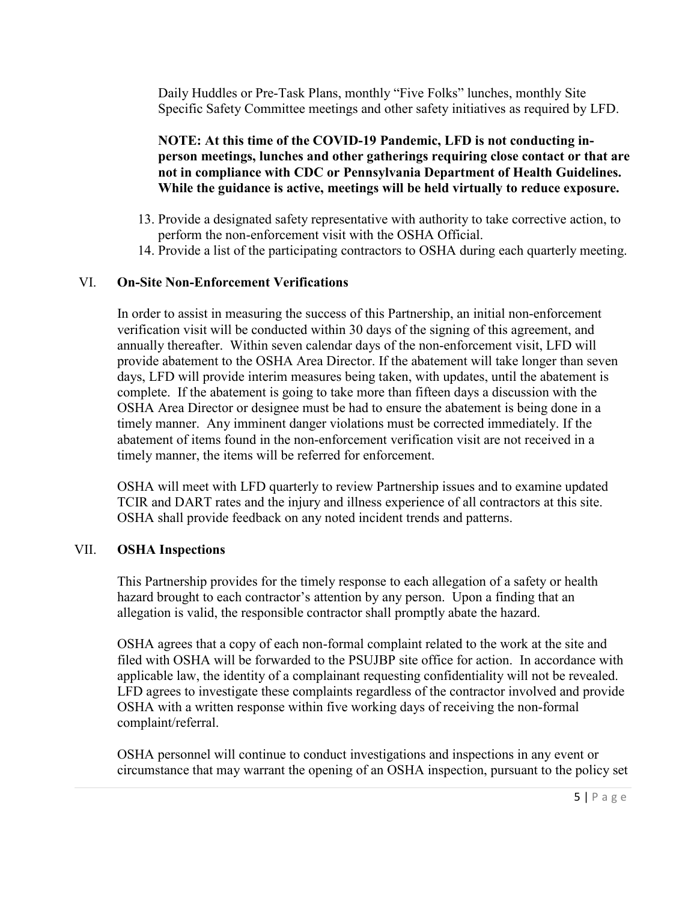Daily Huddles or Pre-Task Plans, monthly "Five Folks" lunches, monthly Site Specific Safety Committee meetings and other safety initiatives as required by LFD.

**NOTE: At this time of the COVID-19 Pandemic, LFD is not conducting inperson meetings, lunches and other gatherings requiring close contact or that are not in compliance with CDC or Pennsylvania Department of Health Guidelines. While the guidance is active, meetings will be held virtually to reduce exposure.**

- 13. Provide a designated safety representative with authority to take corrective action, to perform the non-enforcement visit with the OSHA Official.
- 14. Provide a list of the participating contractors to OSHA during each quarterly meeting.

#### VI. **On-Site Non-Enforcement Verifications**

In order to assist in measuring the success of this Partnership, an initial non-enforcement verification visit will be conducted within 30 days of the signing of this agreement, and annually thereafter. Within seven calendar days of the non-enforcement visit, LFD will provide abatement to the OSHA Area Director. If the abatement will take longer than seven days, LFD will provide interim measures being taken, with updates, until the abatement is complete. If the abatement is going to take more than fifteen days a discussion with the OSHA Area Director or designee must be had to ensure the abatement is being done in a timely manner. Any imminent danger violations must be corrected immediately. If the abatement of items found in the non-enforcement verification visit are not received in a timely manner, the items will be referred for enforcement.

OSHA will meet with LFD quarterly to review Partnership issues and to examine updated TCIR and DART rates and the injury and illness experience of all contractors at this site. OSHA shall provide feedback on any noted incident trends and patterns.

#### VII. **OSHA Inspections**

This Partnership provides for the timely response to each allegation of a safety or health hazard brought to each contractor's attention by any person. Upon a finding that an allegation is valid, the responsible contractor shall promptly abate the hazard.

OSHA agrees that a copy of each non-formal complaint related to the work at the site and filed with OSHA will be forwarded to the PSUJBP site office for action. In accordance with applicable law, the identity of a complainant requesting confidentiality will not be revealed. LFD agrees to investigate these complaints regardless of the contractor involved and provide OSHA with a written response within five working days of receiving the non-formal complaint/referral.

OSHA personnel will continue to conduct investigations and inspections in any event or circumstance that may warrant the opening of an OSHA inspection, pursuant to the policy set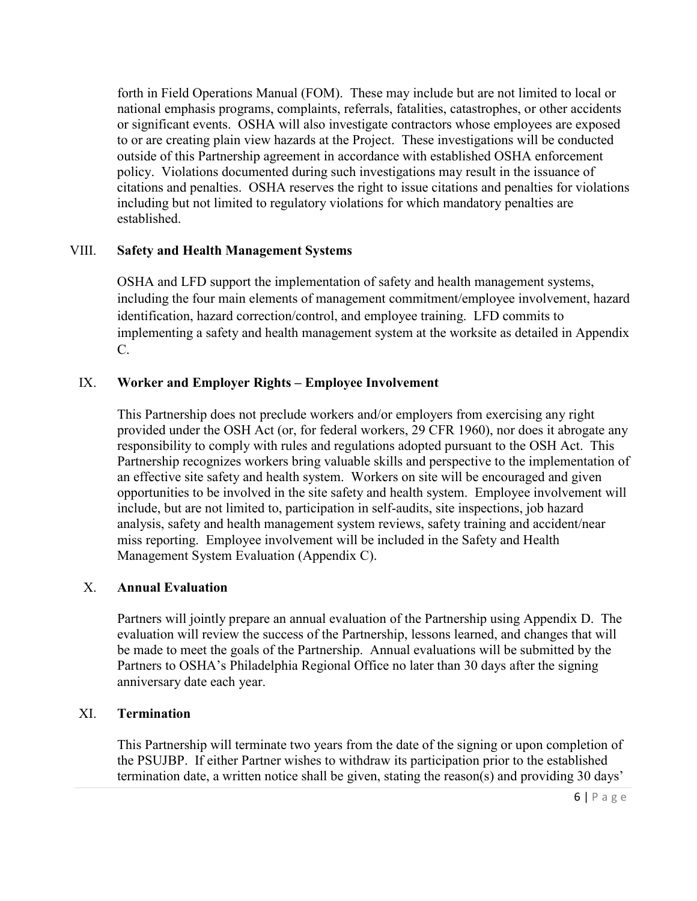forth in Field Operations Manual (FOM). These may include but are not limited to local or national emphasis programs, complaints, referrals, fatalities, catastrophes, or other accidents or significant events. OSHA will also investigate contractors whose employees are exposed to or are creating plain view hazards at the Project. These investigations will be conducted outside of this Partnership agreement in accordance with established OSHA enforcement policy. Violations documented during such investigations may result in the issuance of citations and penalties. OSHA reserves the right to issue citations and penalties for violations including but not limited to regulatory violations for which mandatory penalties are established.

## VIII. **Safety and Health Management Systems**

OSHA and LFD support the implementation of safety and health management systems, including the four main elements of management commitment/employee involvement, hazard identification, hazard correction/control, and employee training. LFD commits to implementing a safety and health management system at the worksite as detailed in Appendix C.

## IX. **Worker and Employer Rights – Employee Involvement**

This Partnership does not preclude workers and/or employers from exercising any right provided under the OSH Act (or, for federal workers, 29 CFR 1960), nor does it abrogate any responsibility to comply with rules and regulations adopted pursuant to the OSH Act. This Partnership recognizes workers bring valuable skills and perspective to the implementation of an effective site safety and health system. Workers on site will be encouraged and given opportunities to be involved in the site safety and health system. Employee involvement will include, but are not limited to, participation in self-audits, site inspections, job hazard analysis, safety and health management system reviews, safety training and accident/near miss reporting. Employee involvement will be included in the Safety and Health Management System Evaluation (Appendix C).

## X. **Annual Evaluation**

Partners will jointly prepare an annual evaluation of the Partnership using Appendix D. The evaluation will review the success of the Partnership, lessons learned, and changes that will be made to meet the goals of the Partnership. Annual evaluations will be submitted by the Partners to OSHA's Philadelphia Regional Office no later than 30 days after the signing anniversary date each year.

# XI. **Termination**

This Partnership will terminate two years from the date of the signing or upon completion of the PSUJBP. If either Partner wishes to withdraw its participation prior to the established termination date, a written notice shall be given, stating the reason(s) and providing 30 days'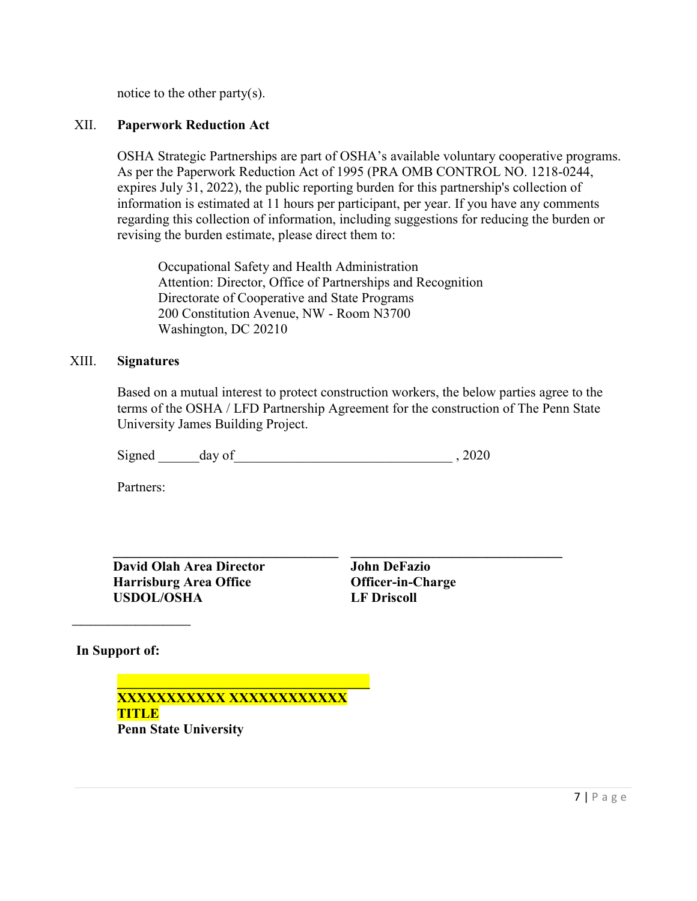notice to the other party(s).

## XII. **Paperwork Reduction Act**

OSHA Strategic Partnerships are part of OSHA's available voluntary cooperative programs. As per the Paperwork Reduction Act of 1995 (PRA OMB CONTROL NO. 1218-0244, expires July 31, 2022), the public reporting burden for this partnership's collection of information is estimated at 11 hours per participant, per year. If you have any comments regarding this collection of information, including suggestions for reducing the burden or revising the burden estimate, please direct them to:

Occupational Safety and Health Administration Attention: Director, Office of Partnerships and Recognition Directorate of Cooperative and State Programs 200 Constitution Avenue, NW - Room N3700 Washington, DC 20210

#### XIII. **Signatures**

Based on a mutual interest to protect construction workers, the below parties agree to the terms of the OSHA / LFD Partnership Agreement for the construction of The Penn State University James Building Project.

Signed day of 3.2020

Partners:

**\_\_\_\_\_\_\_\_\_\_\_\_\_\_\_\_\_\_\_\_\_\_\_\_\_\_\_\_\_\_\_\_\_ David Olah Area Director Harrisburg Area Office USDOL/OSHA**

**John DeFazio Officer-in-Charge LF Driscoll**

**\_\_\_\_\_\_\_\_\_\_\_\_\_\_\_\_\_\_\_\_\_\_\_\_\_\_\_\_\_\_\_**

**In Support of:**

 $\overline{\phantom{a}}$ 

**\_\_\_\_\_\_\_\_\_\_\_\_\_\_\_\_\_\_\_\_\_\_\_\_\_\_\_\_\_\_\_\_\_\_\_\_\_ XXXXXXXXXXX XXXXXXXXXXXX TITLE Penn State University**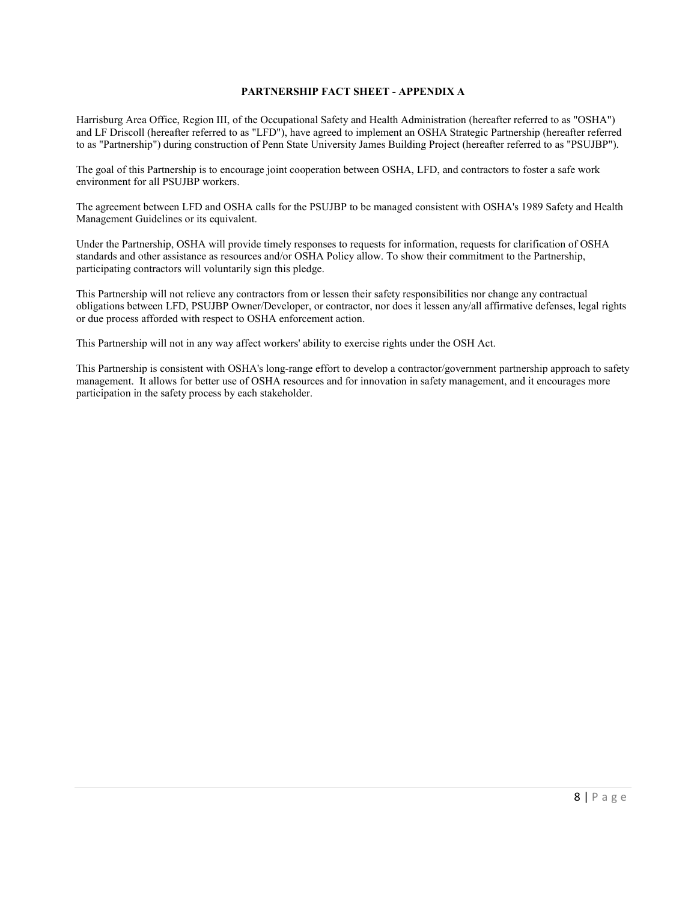#### **PARTNERSHIP FACT SHEET - APPENDIX A**

Harrisburg Area Office, Region III, of the Occupational Safety and Health Administration (hereafter referred to as "OSHA") and LF Driscoll (hereafter referred to as "LFD"), have agreed to implement an OSHA Strategic Partnership (hereafter referred to as "Partnership") during construction of Penn State University James Building Project (hereafter referred to as "PSUJBP").

The goal of this Partnership is to encourage joint cooperation between OSHA, LFD, and contractors to foster a safe work environment for all PSUJBP workers.

The agreement between LFD and OSHA calls for the PSUJBP to be managed consistent with OSHA's 1989 Safety and Health Management Guidelines or its equivalent.

Under the Partnership, OSHA will provide timely responses to requests for information, requests for clarification of OSHA standards and other assistance as resources and/or OSHA Policy allow. To show their commitment to the Partnership, participating contractors will voluntarily sign this pledge.

This Partnership will not relieve any contractors from or lessen their safety responsibilities nor change any contractual obligations between LFD, PSUJBP Owner/Developer, or contractor, nor does it lessen any/all affirmative defenses, legal rights or due process afforded with respect to OSHA enforcement action.

This Partnership will not in any way affect workers' ability to exercise rights under the OSH Act.

This Partnership is consistent with OSHA's long-range effort to develop a contractor/government partnership approach to safety management. It allows for better use of OSHA resources and for innovation in safety management, and it encourages more participation in the safety process by each stakeholder.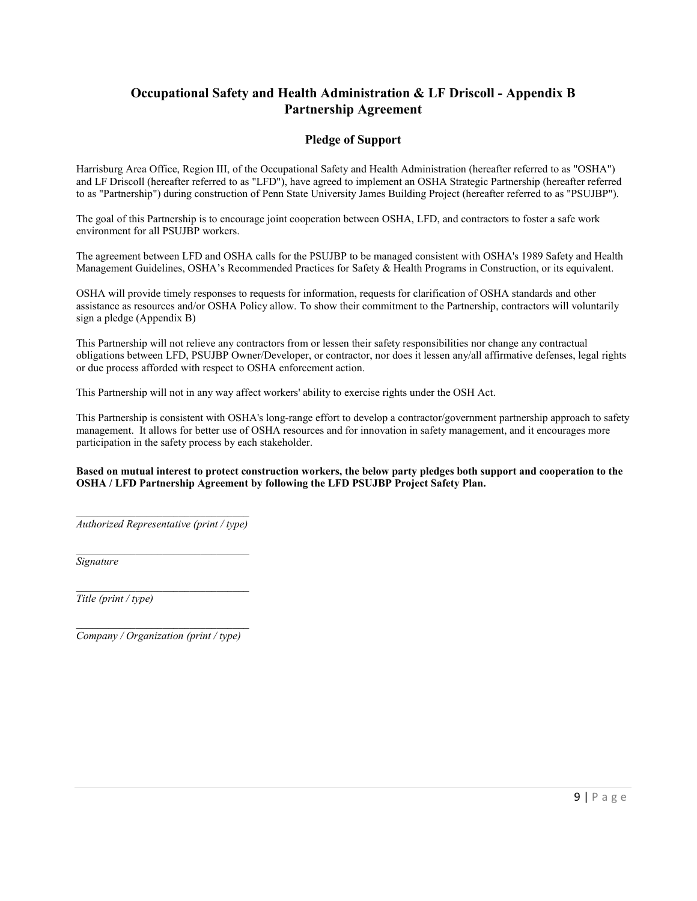## **Occupational Safety and Health Administration & LF Driscoll - Appendix B Partnership Agreement**

#### **Pledge of Support**

Harrisburg Area Office, Region III, of the Occupational Safety and Health Administration (hereafter referred to as "OSHA") and LF Driscoll (hereafter referred to as "LFD"), have agreed to implement an OSHA Strategic Partnership (hereafter referred to as "Partnership") during construction of Penn State University James Building Project (hereafter referred to as "PSUJBP").

The goal of this Partnership is to encourage joint cooperation between OSHA, LFD, and contractors to foster a safe work environment for all PSUJBP workers.

The agreement between LFD and OSHA calls for the PSUJBP to be managed consistent with OSHA's 1989 Safety and Health Management Guidelines, OSHA's Recommended Practices for Safety & Health Programs in Construction, or its equivalent.

OSHA will provide timely responses to requests for information, requests for clarification of OSHA standards and other assistance as resources and/or OSHA Policy allow. To show their commitment to the Partnership, contractors will voluntarily sign a pledge (Appendix B)

This Partnership will not relieve any contractors from or lessen their safety responsibilities nor change any contractual obligations between LFD, PSUJBP Owner/Developer, or contractor, nor does it lessen any/all affirmative defenses, legal rights or due process afforded with respect to OSHA enforcement action.

This Partnership will not in any way affect workers' ability to exercise rights under the OSH Act.

This Partnership is consistent with OSHA's long-range effort to develop a contractor/government partnership approach to safety management. It allows for better use of OSHA resources and for innovation in safety management, and it encourages more participation in the safety process by each stakeholder.

#### **Based on mutual interest to protect construction workers, the below party pledges both support and cooperation to the OSHA / LFD Partnership Agreement by following the LFD PSUJBP Project Safety Plan.**

\_\_\_\_\_\_\_\_\_\_\_\_\_\_\_\_\_\_\_\_\_\_\_\_\_\_\_\_\_\_\_\_ *Authorized Representative (print / type)*

*Signature*

\_\_\_\_\_\_\_\_\_\_\_\_\_\_\_\_\_\_\_\_\_\_\_\_\_\_\_\_\_\_\_\_ *Title (print / type)*

\_\_\_\_\_\_\_\_\_\_\_\_\_\_\_\_\_\_\_\_\_\_\_\_\_\_\_\_\_\_\_\_ *Company / Organization (print / type)*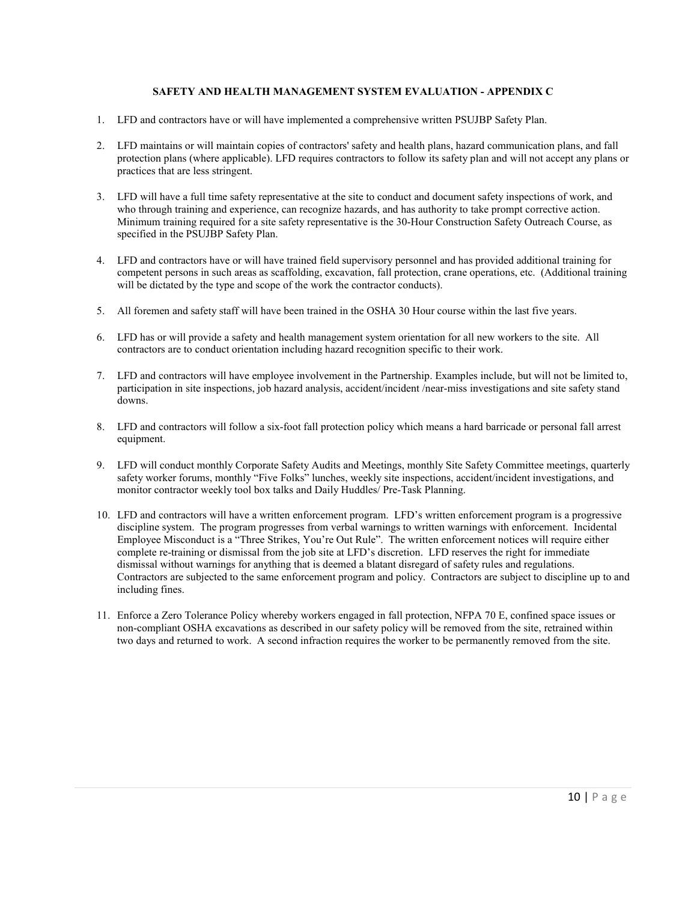#### **SAFETY AND HEALTH MANAGEMENT SYSTEM EVALUATION - APPENDIX C**

- 1. LFD and contractors have or will have implemented a comprehensive written PSUJBP Safety Plan.
- 2. LFD maintains or will maintain copies of contractors' safety and health plans, hazard communication plans, and fall protection plans (where applicable). LFD requires contractors to follow its safety plan and will not accept any plans or practices that are less stringent.
- 3. LFD will have a full time safety representative at the site to conduct and document safety inspections of work, and who through training and experience, can recognize hazards, and has authority to take prompt corrective action. Minimum training required for a site safety representative is the 30-Hour Construction Safety Outreach Course, as specified in the PSUJBP Safety Plan.
- 4. LFD and contractors have or will have trained field supervisory personnel and has provided additional training for competent persons in such areas as scaffolding, excavation, fall protection, crane operations, etc. (Additional training will be dictated by the type and scope of the work the contractor conducts).
- 5. All foremen and safety staff will have been trained in the OSHA 30 Hour course within the last five years.
- 6. LFD has or will provide a safety and health management system orientation for all new workers to the site. All contractors are to conduct orientation including hazard recognition specific to their work.
- 7. LFD and contractors will have employee involvement in the Partnership. Examples include, but will not be limited to, participation in site inspections, job hazard analysis, accident/incident /near-miss investigations and site safety stand downs.
- 8. LFD and contractors will follow a six-foot fall protection policy which means a hard barricade or personal fall arrest equipment.
- 9. LFD will conduct monthly Corporate Safety Audits and Meetings, monthly Site Safety Committee meetings, quarterly safety worker forums, monthly "Five Folks" lunches, weekly site inspections, accident/incident investigations, and monitor contractor weekly tool box talks and Daily Huddles/ Pre-Task Planning.
- 10. LFD and contractors will have a written enforcement program. LFD's written enforcement program is a progressive discipline system. The program progresses from verbal warnings to written warnings with enforcement. Incidental Employee Misconduct is a "Three Strikes, You're Out Rule". The written enforcement notices will require either complete re-training or dismissal from the job site at LFD's discretion. LFD reserves the right for immediate dismissal without warnings for anything that is deemed a blatant disregard of safety rules and regulations. Contractors are subjected to the same enforcement program and policy. Contractors are subject to discipline up to and including fines.
- 11. Enforce a Zero Tolerance Policy whereby workers engaged in fall protection, NFPA 70 E, confined space issues or non-compliant OSHA excavations as described in our safety policy will be removed from the site, retrained within two days and returned to work. A second infraction requires the worker to be permanently removed from the site.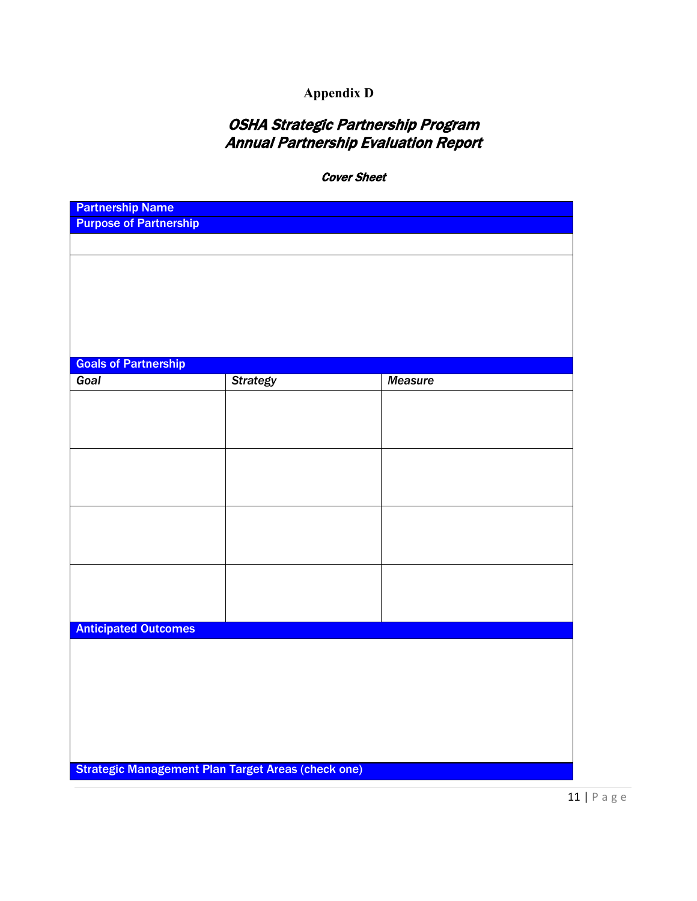# **Appendix D**

# OSHA Strategic Partnership Program Annual Partnership Evaluation Report

Cover Sheet

| <b>Partnership Name</b>                                   |                 |                |
|-----------------------------------------------------------|-----------------|----------------|
| <b>Purpose of Partnership</b>                             |                 |                |
|                                                           |                 |                |
|                                                           |                 |                |
|                                                           |                 |                |
|                                                           |                 |                |
|                                                           |                 |                |
|                                                           |                 |                |
| <b>Goals of Partnership</b>                               |                 | <b>Measure</b> |
| Goal                                                      | <b>Strategy</b> |                |
|                                                           |                 |                |
|                                                           |                 |                |
|                                                           |                 |                |
|                                                           |                 |                |
|                                                           |                 |                |
|                                                           |                 |                |
|                                                           |                 |                |
|                                                           |                 |                |
|                                                           |                 |                |
|                                                           |                 |                |
|                                                           |                 |                |
| <b>Anticipated Outcomes</b>                               |                 |                |
|                                                           |                 |                |
|                                                           |                 |                |
|                                                           |                 |                |
|                                                           |                 |                |
|                                                           |                 |                |
|                                                           |                 |                |
| <b>Strategic Management Plan Target Areas (check one)</b> |                 |                |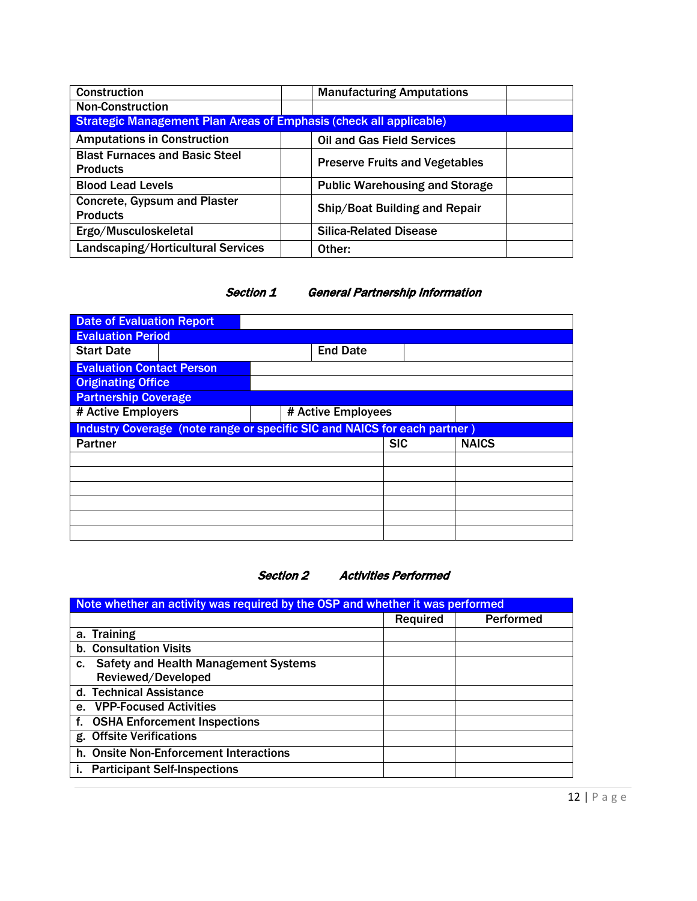| Construction                                                              | <b>Manufacturing Amputations</b>      |
|---------------------------------------------------------------------------|---------------------------------------|
| <b>Non-Construction</b>                                                   |                                       |
| <b>Strategic Management Plan Areas of Emphasis (check all applicable)</b> |                                       |
| <b>Amputations in Construction</b>                                        | <b>Oil and Gas Field Services</b>     |
| <b>Blast Furnaces and Basic Steel</b><br><b>Products</b>                  | <b>Preserve Fruits and Vegetables</b> |
| <b>Blood Lead Levels</b>                                                  | <b>Public Warehousing and Storage</b> |
| <b>Concrete, Gypsum and Plaster</b><br><b>Products</b>                    | Ship/Boat Building and Repair         |
| Ergo/Musculoskeletal                                                      | <b>Silica-Related Disease</b>         |
| Landscaping/Horticultural Services                                        | Other:                                |

#### Section 1 General Partnership Information

| <b>Date of Evaluation Report</b>                                          |  |                    |  |  |
|---------------------------------------------------------------------------|--|--------------------|--|--|
| <b>Evaluation Period</b>                                                  |  |                    |  |  |
| <b>Start Date</b>                                                         |  | <b>End Date</b>    |  |  |
| <b>Evaluation Contact Person</b>                                          |  |                    |  |  |
| <b>Originating Office</b>                                                 |  |                    |  |  |
| <b>Partnership Coverage</b>                                               |  |                    |  |  |
| # Active Employers                                                        |  | # Active Employees |  |  |
| Industry Coverage (note range or specific SIC and NAICS for each partner) |  |                    |  |  |
| <b>SIC</b><br><b>NAICS</b><br><b>Partner</b>                              |  |                    |  |  |
|                                                                           |  |                    |  |  |
|                                                                           |  |                    |  |  |
|                                                                           |  |                    |  |  |
|                                                                           |  |                    |  |  |
|                                                                           |  |                    |  |  |
|                                                                           |  |                    |  |  |



| Note whether an activity was required by the OSP and whether it was performed |                 |                  |  |
|-------------------------------------------------------------------------------|-----------------|------------------|--|
|                                                                               | <b>Required</b> | <b>Performed</b> |  |
| a. Training                                                                   |                 |                  |  |
| <b>b. Consultation Visits</b>                                                 |                 |                  |  |
| <b>Safety and Health Management Systems</b><br>C.                             |                 |                  |  |
| Reviewed/Developed                                                            |                 |                  |  |
| d. Technical Assistance                                                       |                 |                  |  |
| <b>VPP-Focused Activities</b><br>е.                                           |                 |                  |  |
| f. OSHA Enforcement Inspections                                               |                 |                  |  |
| g. Offsite Verifications                                                      |                 |                  |  |
| h. Onsite Non-Enforcement Interactions                                        |                 |                  |  |
| <b>Participant Self-Inspections</b>                                           |                 |                  |  |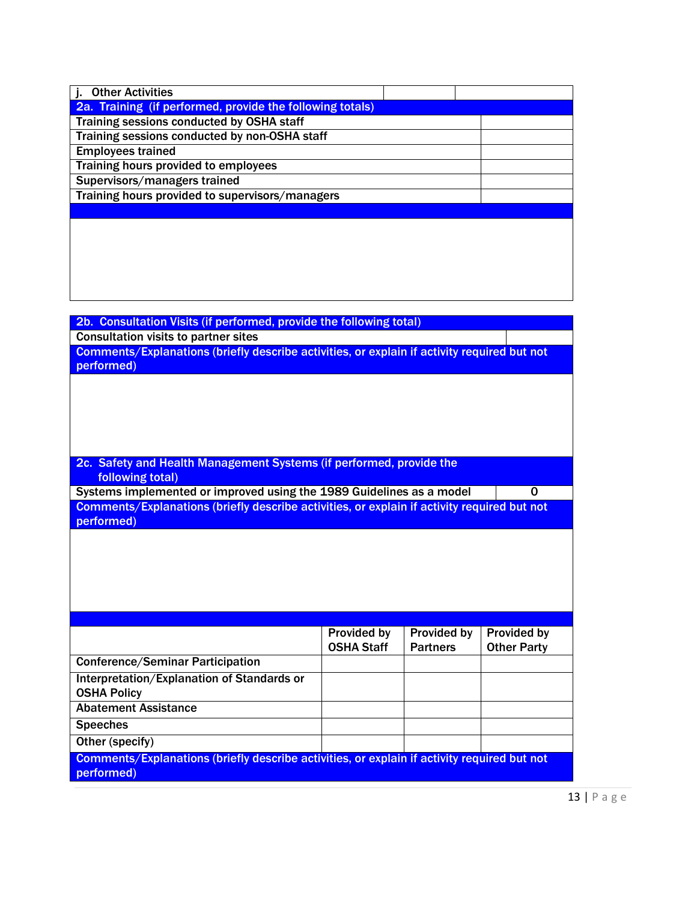| <b>Other Activities</b>                                   |  |
|-----------------------------------------------------------|--|
| 2a. Training (if performed, provide the following totals) |  |
| Training sessions conducted by OSHA staff                 |  |
| Training sessions conducted by non-OSHA staff             |  |
| <b>Employees trained</b>                                  |  |
| Training hours provided to employees                      |  |
| Supervisors/managers trained                              |  |
| Training hours provided to supervisors/managers           |  |
|                                                           |  |
|                                                           |  |
|                                                           |  |

| 2b. Consultation Visits (if performed, provide the following total)                         |                    |                    |                    |
|---------------------------------------------------------------------------------------------|--------------------|--------------------|--------------------|
| <b>Consultation visits to partner sites</b>                                                 |                    |                    |                    |
| Comments/Explanations (briefly describe activities, or explain if activity required but not |                    |                    |                    |
| performed)                                                                                  |                    |                    |                    |
|                                                                                             |                    |                    |                    |
|                                                                                             |                    |                    |                    |
|                                                                                             |                    |                    |                    |
|                                                                                             |                    |                    |                    |
|                                                                                             |                    |                    |                    |
| 2c. Safety and Health Management Systems (if performed, provide the                         |                    |                    |                    |
| following total)                                                                            |                    |                    |                    |
| Systems implemented or improved using the 1989 Guidelines as a model                        |                    |                    | 0                  |
| Comments/Explanations (briefly describe activities, or explain if activity required but not |                    |                    |                    |
| performed)                                                                                  |                    |                    |                    |
|                                                                                             |                    |                    |                    |
|                                                                                             |                    |                    |                    |
|                                                                                             |                    |                    |                    |
|                                                                                             |                    |                    |                    |
|                                                                                             |                    |                    |                    |
|                                                                                             |                    |                    |                    |
|                                                                                             | <b>Provided by</b> | <b>Provided by</b> | Provided by        |
|                                                                                             | <b>OSHA Staff</b>  | <b>Partners</b>    | <b>Other Party</b> |
| <b>Conference/Seminar Participation</b>                                                     |                    |                    |                    |
| Interpretation/Explanation of Standards or                                                  |                    |                    |                    |
| <b>OSHA Policy</b>                                                                          |                    |                    |                    |
| <b>Abatement Assistance</b>                                                                 |                    |                    |                    |
|                                                                                             |                    |                    |                    |
| <b>Speeches</b>                                                                             |                    |                    |                    |
| Other (specify)                                                                             |                    |                    |                    |
| Comments/Explanations (briefly describe activities, or explain if activity required but not |                    |                    |                    |
| performed)                                                                                  |                    |                    |                    |
|                                                                                             |                    |                    |                    |

13 | Page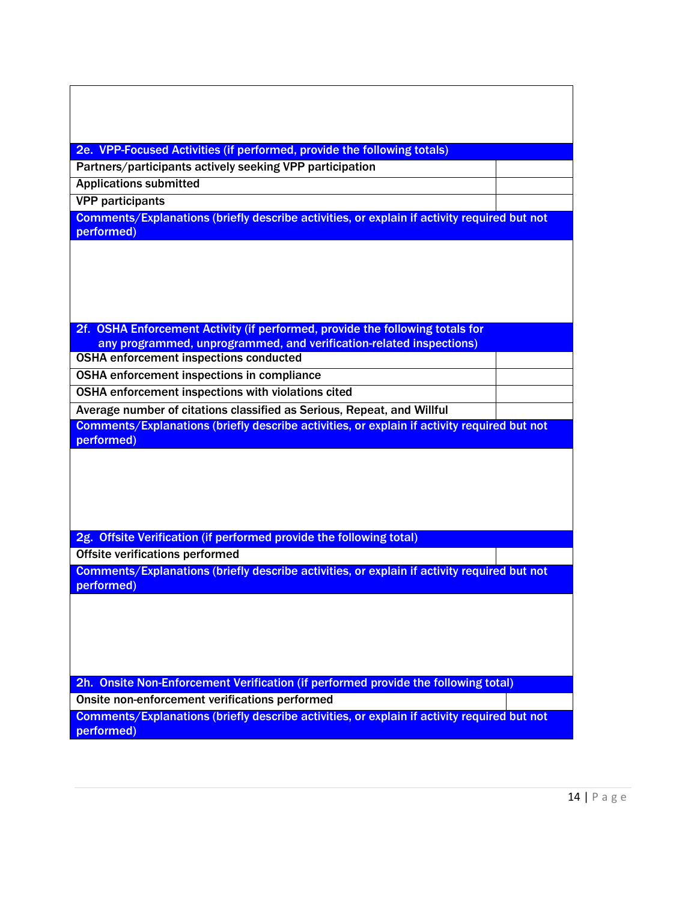| 2e. VPP-Focused Activities (if performed, provide the following totals)                                   |  |
|-----------------------------------------------------------------------------------------------------------|--|
| Partners/participants actively seeking VPP participation                                                  |  |
| <b>Applications submitted</b>                                                                             |  |
| <b>VPP</b> participants                                                                                   |  |
| Comments/Explanations (briefly describe activities, or explain if activity required but not               |  |
| performed)                                                                                                |  |
|                                                                                                           |  |
| 2f. OSHA Enforcement Activity (if performed, provide the following totals for                             |  |
| any programmed, unprogrammed, and verification-related inspections)                                       |  |
| <b>OSHA</b> enforcement inspections conducted                                                             |  |
| OSHA enforcement inspections in compliance                                                                |  |
| OSHA enforcement inspections with violations cited                                                        |  |
| Average number of citations classified as Serious, Repeat, and Willful                                    |  |
| Comments/Explanations (briefly describe activities, or explain if activity required but not<br>performed) |  |
| 2g. Offsite Verification (if performed provide the following total)                                       |  |
| <b>Offsite verifications performed</b>                                                                    |  |
| Comments/Explanations (briefly describe activities, or explain if activity required but not               |  |
| performed)                                                                                                |  |
|                                                                                                           |  |
| 2h. Onsite Non-Enforcement Verification (if performed provide the following total)                        |  |
| Onsite non-enforcement verifications performed                                                            |  |
| Comments/Explanations (briefly describe activities, or explain if activity required but not<br>performed) |  |
|                                                                                                           |  |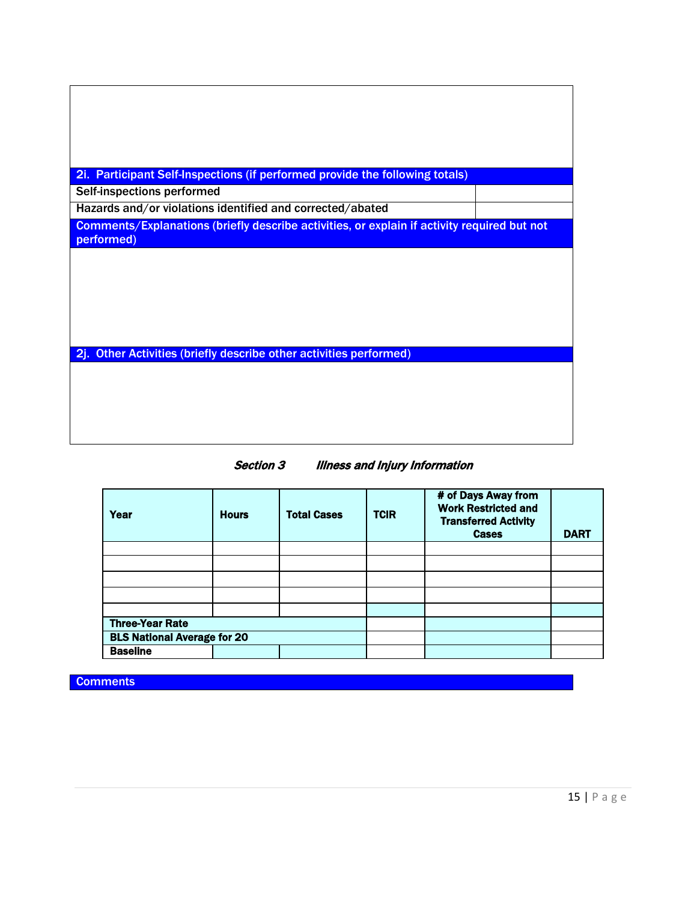| <b>Participant Self-Inspections (if performed provide the following totals)</b><br><b>2i.</b>             |  |
|-----------------------------------------------------------------------------------------------------------|--|
| Self-inspections performed                                                                                |  |
| Hazards and/or violations identified and corrected/abated                                                 |  |
| Comments/Explanations (briefly describe activities, or explain if activity required but not<br>performed) |  |
|                                                                                                           |  |
|                                                                                                           |  |
|                                                                                                           |  |
|                                                                                                           |  |
|                                                                                                           |  |
|                                                                                                           |  |
| <b>Other Activities (briefly describe other activities performed)</b><br>-2j.                             |  |
|                                                                                                           |  |
|                                                                                                           |  |
|                                                                                                           |  |
|                                                                                                           |  |
|                                                                                                           |  |

| <b>Section 3</b> | <b>Illness and Injury Information</b> |
|------------------|---------------------------------------|
|------------------|---------------------------------------|

| Year                               | <b>Hours</b> | <b>Total Cases</b> | <b>TCIR</b> | # of Days Away from<br><b>Work Restricted and</b><br><b>Transferred Activity</b><br><b>Cases</b> | <b>DART</b> |
|------------------------------------|--------------|--------------------|-------------|--------------------------------------------------------------------------------------------------|-------------|
|                                    |              |                    |             |                                                                                                  |             |
|                                    |              |                    |             |                                                                                                  |             |
|                                    |              |                    |             |                                                                                                  |             |
|                                    |              |                    |             |                                                                                                  |             |
|                                    |              |                    |             |                                                                                                  |             |
| <b>Three-Year Rate</b>             |              |                    |             |                                                                                                  |             |
| <b>BLS National Average for 20</b> |              |                    |             |                                                                                                  |             |
| <b>Baseline</b>                    |              |                    |             |                                                                                                  |             |

**Comments**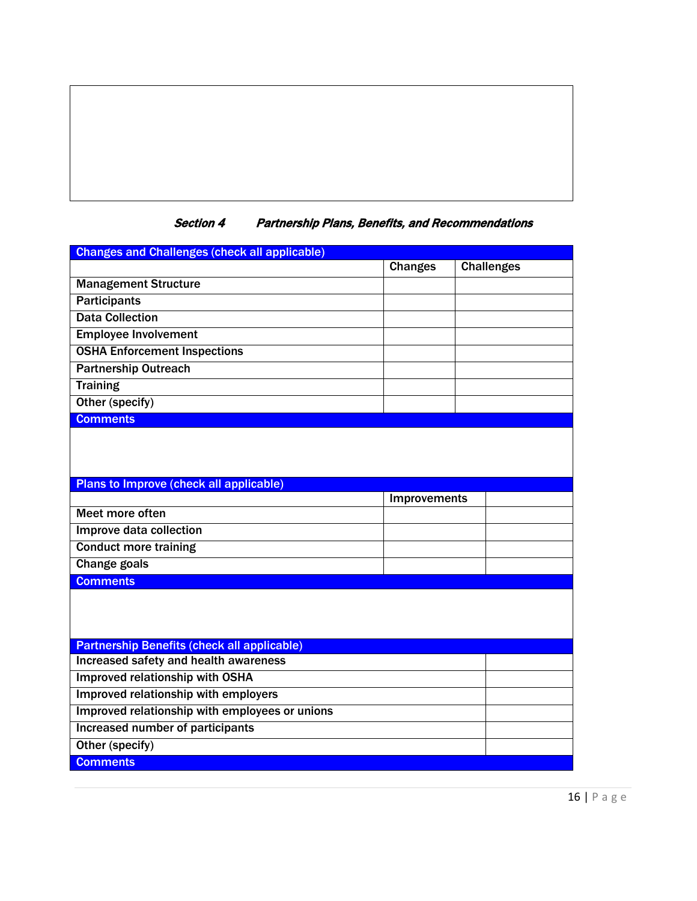# Section 4 Partnership Plans, Benefits, and Recommendations

| <b>Changes and Challenges (check all applicable)</b>                                        |                |                   |  |
|---------------------------------------------------------------------------------------------|----------------|-------------------|--|
|                                                                                             | <b>Changes</b> | <b>Challenges</b> |  |
| <b>Management Structure</b>                                                                 |                |                   |  |
| <b>Participants</b>                                                                         |                |                   |  |
| <b>Data Collection</b>                                                                      |                |                   |  |
| <b>Employee Involvement</b>                                                                 |                |                   |  |
| <b>OSHA Enforcement Inspections</b>                                                         |                |                   |  |
| <b>Partnership Outreach</b>                                                                 |                |                   |  |
| <b>Training</b>                                                                             |                |                   |  |
| Other (specify)                                                                             |                |                   |  |
| <b>Comments</b>                                                                             |                |                   |  |
|                                                                                             |                |                   |  |
| Plans to Improve (check all applicable)                                                     |                |                   |  |
|                                                                                             | Improvements   |                   |  |
| Meet more often                                                                             |                |                   |  |
| Improve data collection                                                                     |                |                   |  |
| <b>Conduct more training</b>                                                                |                |                   |  |
| <b>Change goals</b>                                                                         |                |                   |  |
| <b>Comments</b>                                                                             |                |                   |  |
|                                                                                             |                |                   |  |
| <b>Partnership Benefits (check all applicable)</b><br>Increased safety and health awareness |                |                   |  |
| Improved relationship with OSHA                                                             |                |                   |  |
| Improved relationship with employers                                                        |                |                   |  |
| Improved relationship with employees or unions                                              |                |                   |  |
| <b>Increased number of participants</b>                                                     |                |                   |  |
|                                                                                             |                |                   |  |
| Other (specify)                                                                             |                |                   |  |
| <b>Comments</b>                                                                             |                |                   |  |